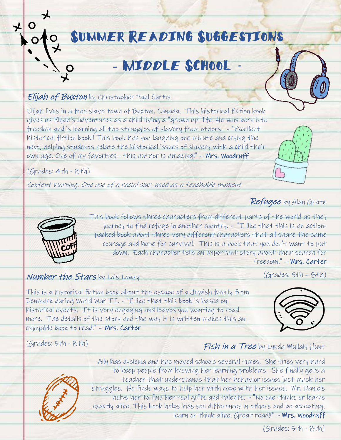# Summer Reading Suggestions

# MIDDLE SCHOOL

#### Elijah of Buxton by Christopher Paul Curtis

Elijah lives in a free slave town of Buxton, Canada. This historical fiction book gives us Elijah's adventures as a child living a "grown up" life. He was born into freedom and is learning all the struggles of slavery from others. - "Excellent historical fiction book!! This book has you laughing one minute and crying the next, helping students relate the historical issues of slavery with a child their own age. One of my favorites - this author is amazing!" – Mrs. Woodruff

(Grades: 4th - 8th)

Content Warning: One use of a racial slur, used as a teachable moment

#### Refugee by Alan Gratz



This book follows three characters from different parts of the world as they journey to find refuge in another country. - "I like that this is an actionpacked book about three very different characters that all share the same courage and hope for survival. This is a book that you don't want to put down. Each character tells an important story about their search for freedom." – Mrs. Carter

#### Number the Stars by Lois Lowry

This is a historical fiction book about the escape of a Jewish family from Denmark during World War II. - "I like that this book is based on historical events. It is very engaging and leaves you wanting to read more. The details of the story and the way it is written makes this an enjoyable book to read." – Mrs. Carter



 $(Grades: 5th - 8th)$ 

(Grades: 5th - 8th)





Ally has dyslexia and has moved schools several times. She tries very hard to keep people from knowing her learning problems. She finally gets a teacher that understands that her behavior issues just mask her struggles. He finds ways to help her with cope with her issues. Mr. Daniels helps her to find her real gifts and talents. – "No one thinks or learns exactly alike. This book helps kids see differences in others and be accepting. learn or think alike. Great read!!" – Mrs. Woodruff

(Grades: 5th - 8th)